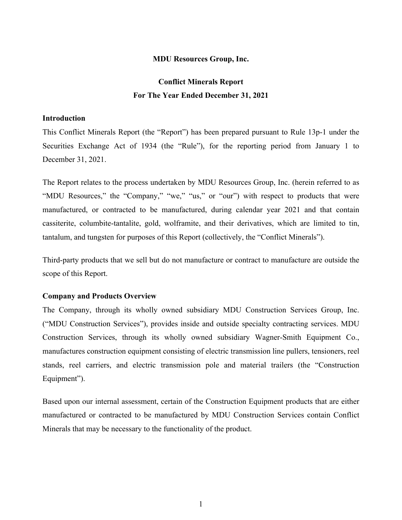## **MDU Resources Group, Inc.**

# **Conflict Minerals Report For The Year Ended December 31, 2021**

## **Introduction**

This Conflict Minerals Report (the "Report") has been prepared pursuant to Rule 13p-1 under the Securities Exchange Act of 1934 (the "Rule"), for the reporting period from January 1 to December 31, 2021.

The Report relates to the process undertaken by MDU Resources Group, Inc. (herein referred to as "MDU Resources," the "Company," "we," "us," or "our") with respect to products that were manufactured, or contracted to be manufactured, during calendar year 2021 and that contain cassiterite, columbite-tantalite, gold, wolframite, and their derivatives, which are limited to tin, tantalum, and tungsten for purposes of this Report (collectively, the "Conflict Minerals").

Third-party products that we sell but do not manufacture or contract to manufacture are outside the scope of this Report.

## **Company and Products Overview**

The Company, through its wholly owned subsidiary MDU Construction Services Group, Inc. ("MDU Construction Services"), provides inside and outside specialty contracting services. MDU Construction Services, through its wholly owned subsidiary Wagner-Smith Equipment Co., manufactures construction equipment consisting of electric transmission line pullers, tensioners, reel stands, reel carriers, and electric transmission pole and material trailers (the "Construction Equipment").

Based upon our internal assessment, certain of the Construction Equipment products that are either manufactured or contracted to be manufactured by MDU Construction Services contain Conflict Minerals that may be necessary to the functionality of the product.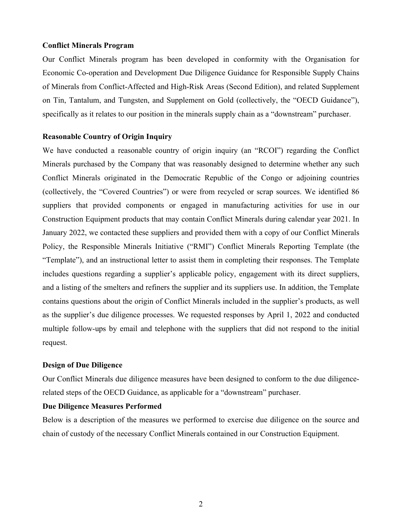### **Conflict Minerals Program**

Our Conflict Minerals program has been developed in conformity with the Organisation for Economic Co-operation and Development Due Diligence Guidance for Responsible Supply Chains of Minerals from Conflict-Affected and High-Risk Areas (Second Edition), and related Supplement on Tin, Tantalum, and Tungsten, and Supplement on Gold (collectively, the "OECD Guidance"), specifically as it relates to our position in the minerals supply chain as a "downstream" purchaser.

#### **Reasonable Country of Origin Inquiry**

We have conducted a reasonable country of origin inquiry (an "RCOI") regarding the Conflict Minerals purchased by the Company that was reasonably designed to determine whether any such Conflict Minerals originated in the Democratic Republic of the Congo or adjoining countries (collectively, the "Covered Countries") or were from recycled or scrap sources. We identified 86 suppliers that provided components or engaged in manufacturing activities for use in our Construction Equipment products that may contain Conflict Minerals during calendar year 2021. In January 2022, we contacted these suppliers and provided them with a copy of our Conflict Minerals Policy, the Responsible Minerals Initiative ("RMI") Conflict Minerals Reporting Template (the "Template"), and an instructional letter to assist them in completing their responses. The Template includes questions regarding a supplier's applicable policy, engagement with its direct suppliers, and a listing of the smelters and refiners the supplier and its suppliers use. In addition, the Template contains questions about the origin of Conflict Minerals included in the supplier's products, as well as the supplier's due diligence processes. We requested responses by April 1, 2022 and conducted multiple follow-ups by email and telephone with the suppliers that did not respond to the initial request.

# **Design of Due Diligence**

Our Conflict Minerals due diligence measures have been designed to conform to the due diligencerelated steps of the OECD Guidance, as applicable for a "downstream" purchaser.

## **Due Diligence Measures Performed**

Below is a description of the measures we performed to exercise due diligence on the source and chain of custody of the necessary Conflict Minerals contained in our Construction Equipment.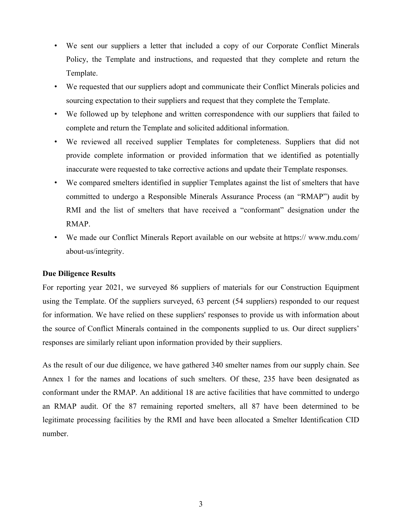- We sent our suppliers a letter that included a copy of our Corporate Conflict Minerals Policy, the Template and instructions, and requested that they complete and return the Template.
- We requested that our suppliers adopt and communicate their Conflict Minerals policies and sourcing expectation to their suppliers and request that they complete the Template.
- We followed up by telephone and written correspondence with our suppliers that failed to complete and return the Template and solicited additional information.
- We reviewed all received supplier Templates for completeness. Suppliers that did not provide complete information or provided information that we identified as potentially inaccurate were requested to take corrective actions and update their Template responses.
- We compared smelters identified in supplier Templates against the list of smelters that have committed to undergo a Responsible Minerals Assurance Process (an "RMAP") audit by RMI and the list of smelters that have received a "conformant" designation under the RMAP.
- We made our Conflict Minerals Report available on our website at https:// www.mdu.com/ about-us/integrity.

## **Due Diligence Results**

For reporting year 2021, we surveyed 86 suppliers of materials for our Construction Equipment using the Template. Of the suppliers surveyed, 63 percent (54 suppliers) responded to our request for information. We have relied on these suppliers' responses to provide us with information about the source of Conflict Minerals contained in the components supplied to us. Our direct suppliers' responses are similarly reliant upon information provided by their suppliers.

As the result of our due diligence, we have gathered 340 smelter names from our supply chain. See Annex 1 for the names and locations of such smelters. Of these, 235 have been designated as conformant under the RMAP. An additional 18 are active facilities that have committed to undergo an RMAP audit. Of the 87 remaining reported smelters, all 87 have been determined to be legitimate processing facilities by the RMI and have been allocated a Smelter Identification CID number.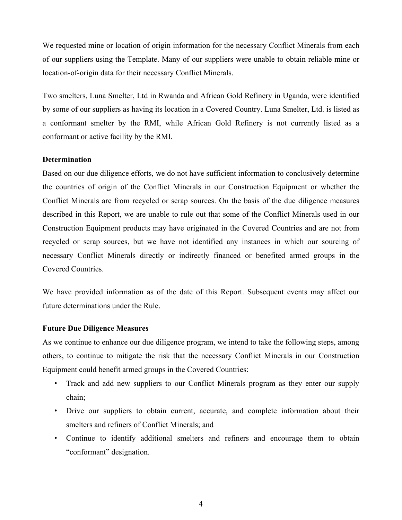We requested mine or location of origin information for the necessary Conflict Minerals from each of our suppliers using the Template. Many of our suppliers were unable to obtain reliable mine or location-of-origin data for their necessary Conflict Minerals.

Two smelters, Luna Smelter, Ltd in Rwanda and African Gold Refinery in Uganda, were identified by some of our suppliers as having its location in a Covered Country. Luna Smelter, Ltd. is listed as a conformant smelter by the RMI, while African Gold Refinery is not currently listed as a conformant or active facility by the RMI.

# **Determination**

Based on our due diligence efforts, we do not have sufficient information to conclusively determine the countries of origin of the Conflict Minerals in our Construction Equipment or whether the Conflict Minerals are from recycled or scrap sources. On the basis of the due diligence measures described in this Report, we are unable to rule out that some of the Conflict Minerals used in our Construction Equipment products may have originated in the Covered Countries and are not from recycled or scrap sources, but we have not identified any instances in which our sourcing of necessary Conflict Minerals directly or indirectly financed or benefited armed groups in the Covered Countries.

We have provided information as of the date of this Report. Subsequent events may affect our future determinations under the Rule.

## **Future Due Diligence Measures**

As we continue to enhance our due diligence program, we intend to take the following steps, among others, to continue to mitigate the risk that the necessary Conflict Minerals in our Construction Equipment could benefit armed groups in the Covered Countries:

- Track and add new suppliers to our Conflict Minerals program as they enter our supply chain;
- Drive our suppliers to obtain current, accurate, and complete information about their smelters and refiners of Conflict Minerals; and
- Continue to identify additional smelters and refiners and encourage them to obtain "conformant" designation.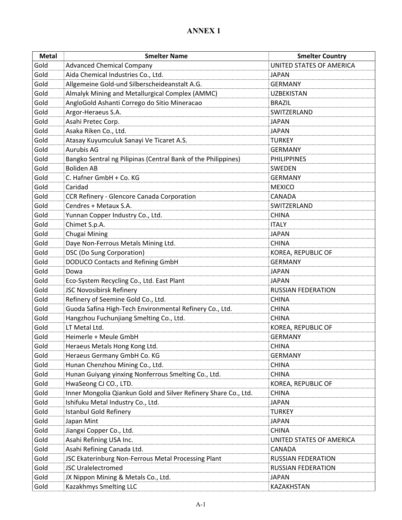| <b>Metal</b> | <b>Smelter Name</b>                                             | <b>Smelter Country</b>    |
|--------------|-----------------------------------------------------------------|---------------------------|
| Gold         | <b>Advanced Chemical Company</b>                                | UNITED STATES OF AMERICA  |
| Gold         | Aida Chemical Industries Co., Ltd.                              | <b>JAPAN</b>              |
| Gold         | Allgemeine Gold-und Silberscheideanstalt A.G.                   | <b>GERMANY</b>            |
| Gold         | Almalyk Mining and Metallurgical Complex (AMMC)                 | <b>UZBEKISTAN</b>         |
| Gold         | AngloGold Ashanti Corrego do Sitio Mineracao                    | <b>BRAZIL</b>             |
| Gold         | Argor-Heraeus S.A.                                              | SWITZERLAND               |
| Gold         | Asahi Pretec Corp.                                              | <b>JAPAN</b>              |
| Gold         | Asaka Riken Co., Ltd.                                           | <b>JAPAN</b>              |
| Gold         | Atasay Kuyumculuk Sanayi Ve Ticaret A.S.                        | <b>TURKEY</b>             |
| Gold         | <b>Aurubis AG</b>                                               | <b>GERMANY</b>            |
| Gold         | Bangko Sentral ng Pilipinas (Central Bank of the Philippines)   | <b>PHILIPPINES</b>        |
| Gold         | <b>Boliden AB</b>                                               | SWEDEN                    |
| Gold         | C. Hafner GmbH + Co. KG                                         | <b>GERMANY</b>            |
| Gold         | Caridad                                                         | <b>MEXICO</b>             |
| Gold         | CCR Refinery - Glencore Canada Corporation                      | <b>CANADA</b>             |
| Gold         | Cendres + Metaux S.A.                                           | SWITZERLAND               |
| Gold         | Yunnan Copper Industry Co., Ltd.                                | <b>CHINA</b>              |
| Gold         | Chimet S.p.A.                                                   | <b>ITALY</b>              |
| Gold         | Chugai Mining                                                   | <b>JAPAN</b>              |
| Gold         | Daye Non-Ferrous Metals Mining Ltd.                             | <b>CHINA</b>              |
| Gold         | DSC (Do Sung Corporation)                                       | KOREA, REPUBLIC OF        |
| Gold         | <b>DODUCO Contacts and Refining GmbH</b>                        | <b>GERMANY</b>            |
| Gold         | Dowa                                                            | <b>JAPAN</b>              |
| Gold         | Eco-System Recycling Co., Ltd. East Plant                       | <b>JAPAN</b>              |
| Gold         | JSC Novosibirsk Refinery                                        | <b>RUSSIAN FEDERATION</b> |
| Gold         | Refinery of Seemine Gold Co., Ltd.                              | <b>CHINA</b>              |
| Gold         | Guoda Safina High-Tech Environmental Refinery Co., Ltd.         | <b>CHINA</b>              |
| Gold         | Hangzhou Fuchunjiang Smelting Co., Ltd.                         | <b>CHINA</b>              |
| Gold         | LT Metal Ltd.                                                   | KOREA, REPUBLIC OF        |
| Gold         | Heimerle + Meule GmbH                                           | <b>GERMANY</b>            |
| Gold         | Heraeus Metals Hong Kong Ltd.                                   | <b>CHINA</b>              |
| Gold         | Heraeus Germany GmbH Co. KG                                     | <b>GERMANY</b>            |
| Gold         | Hunan Chenzhou Mining Co., Ltd.                                 | <b>CHINA</b>              |
| Gold         | Hunan Guiyang yinxing Nonferrous Smelting Co., Ltd.             | <b>CHINA</b>              |
| Gold         | HwaSeong CJ CO., LTD.                                           | KOREA, REPUBLIC OF        |
| Gold         | Inner Mongolia Qiankun Gold and Silver Refinery Share Co., Ltd. | <b>CHINA</b>              |
| Gold         | Ishifuku Metal Industry Co., Ltd.                               | <b>JAPAN</b>              |
| Gold         | <b>Istanbul Gold Refinery</b>                                   | <b>TURKEY</b>             |
| Gold         | Japan Mint                                                      | <b>JAPAN</b>              |
| Gold         | Jiangxi Copper Co., Ltd.                                        | <b>CHINA</b>              |
| Gold         | Asahi Refining USA Inc.                                         | UNITED STATES OF AMERICA  |
| Gold         | Asahi Refining Canada Ltd.                                      | CANADA                    |
| Gold         | JSC Ekaterinburg Non-Ferrous Metal Processing Plant             | <b>RUSSIAN FEDERATION</b> |
| Gold         | <b>JSC Uralelectromed</b>                                       | RUSSIAN FEDERATION        |
| Gold         | JX Nippon Mining & Metals Co., Ltd.                             | <b>JAPAN</b>              |
| Gold         | Kazakhmys Smelting LLC                                          | KAZAKHSTAN                |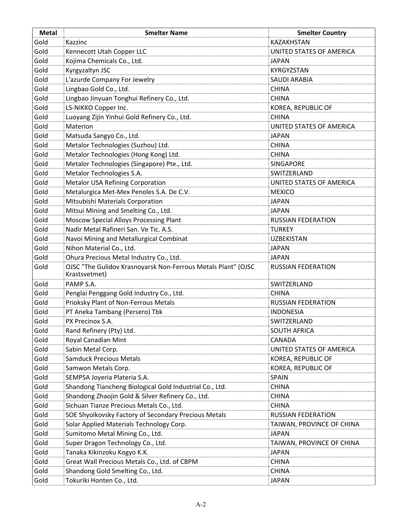| <b>Metal</b> | <b>Smelter Name</b>                                                            | <b>Smelter Country</b>    |
|--------------|--------------------------------------------------------------------------------|---------------------------|
| Gold         | Kazzinc                                                                        | KAZAKHSTAN                |
| Gold         | Kennecott Utah Copper LLC                                                      | UNITED STATES OF AMERICA  |
| Gold         | Kojima Chemicals Co., Ltd.                                                     | <b>JAPAN</b>              |
| Gold         | Kyrgyzaltyn JSC                                                                | KYRGYZSTAN                |
| Gold         | L'azurde Company For Jewelry                                                   | <b>SAUDI ARABIA</b>       |
| Gold         | Lingbao Gold Co., Ltd.                                                         | <b>CHINA</b>              |
| Gold         | Lingbao Jinyuan Tonghui Refinery Co., Ltd.                                     | <b>CHINA</b>              |
| Gold         | LS-NIKKO Copper Inc.                                                           | KOREA, REPUBLIC OF        |
| Gold         | Luoyang Zijin Yinhui Gold Refinery Co., Ltd.                                   | <b>CHINA</b>              |
| Gold         | Materion                                                                       | UNITED STATES OF AMERICA  |
| Gold         | Matsuda Sangyo Co., Ltd.                                                       | <b>JAPAN</b>              |
| Gold         | Metalor Technologies (Suzhou) Ltd.                                             | <b>CHINA</b>              |
| Gold         | Metalor Technologies (Hong Kong) Ltd.                                          | <b>CHINA</b>              |
| Gold         | Metalor Technologies (Singapore) Pte., Ltd.                                    | <b>SINGAPORE</b>          |
| Gold         | Metalor Technologies S.A.                                                      | SWITZERLAND               |
| Gold         | <b>Metalor USA Refining Corporation</b>                                        | UNITED STATES OF AMERICA  |
| Gold         | Metalurgica Met-Mex Penoles S.A. De C.V.                                       | <b>MEXICO</b>             |
| Gold         | Mitsubishi Materials Corporation                                               | <b>JAPAN</b>              |
| Gold         | Mitsui Mining and Smelting Co., Ltd.                                           | <b>JAPAN</b>              |
| Gold         | Moscow Special Alloys Processing Plant                                         | <b>RUSSIAN FEDERATION</b> |
| Gold         | Nadir Metal Rafineri San. Ve Tic. A.S.                                         | <b>TURKEY</b>             |
| Gold         | Navoi Mining and Metallurgical Combinat                                        | <b>UZBEKISTAN</b>         |
| Gold         | Nihon Material Co., Ltd.                                                       | <b>JAPAN</b>              |
| Gold         | Ohura Precious Metal Industry Co., Ltd.                                        | <b>JAPAN</b>              |
| Gold         | OJSC "The Gulidov Krasnoyarsk Non-Ferrous Metals Plant" (OJSC<br>Krastsvetmet) | <b>RUSSIAN FEDERATION</b> |
| Gold         | PAMP S.A.                                                                      | SWITZERLAND               |
| Gold         | Penglai Penggang Gold Industry Co., Ltd.                                       | <b>CHINA</b>              |
| Gold         | Prioksky Plant of Non-Ferrous Metals                                           | <b>RUSSIAN FEDERATION</b> |
| Gold         | PT Aneka Tambang (Persero) Tbk                                                 | <b>INDONESIA</b>          |
| Gold         | PX Precinox S.A.                                                               | SWITZERLAND               |
| Gold         | Rand Refinery (Pty) Ltd.                                                       | SOUTH AFRICA              |
| Gold         | Royal Canadian Mint                                                            | CANADA                    |
| Gold         | Sabin Metal Corp.                                                              | UNITED STATES OF AMERICA  |
| Gold         | <b>Samduck Precious Metals</b>                                                 | KOREA, REPUBLIC OF        |
| Gold         | Samwon Metals Corp.                                                            | KOREA, REPUBLIC OF        |
| Gold         | SEMPSA Joyeria Plateria S.A.                                                   | SPAIN                     |
| Gold         | Shandong Tiancheng Biological Gold Industrial Co., Ltd.                        | <b>CHINA</b>              |
| Gold         | Shandong Zhaojin Gold & Silver Refinery Co., Ltd.                              | <b>CHINA</b>              |
| Gold         | Sichuan Tianze Precious Metals Co., Ltd.                                       | <b>CHINA</b>              |
| Gold         | SOE Shyolkovsky Factory of Secondary Precious Metals                           | RUSSIAN FEDERATION        |
| Gold         | Solar Applied Materials Technology Corp.                                       | TAIWAN, PROVINCE OF CHINA |
| Gold         | Sumitomo Metal Mining Co., Ltd.                                                | <b>JAPAN</b>              |
| Gold         | Super Dragon Technology Co., Ltd.                                              | TAIWAN, PROVINCE OF CHINA |
| Gold         | Tanaka Kikinzoku Kogyo K.K.                                                    | <b>JAPAN</b>              |
| Gold         | Great Wall Precious Metals Co., Ltd. of CBPM                                   | <b>CHINA</b>              |
| Gold         | Shandong Gold Smelting Co., Ltd.                                               | <b>CHINA</b>              |
| Gold         | Tokuriki Honten Co., Ltd.                                                      | <b>JAPAN</b>              |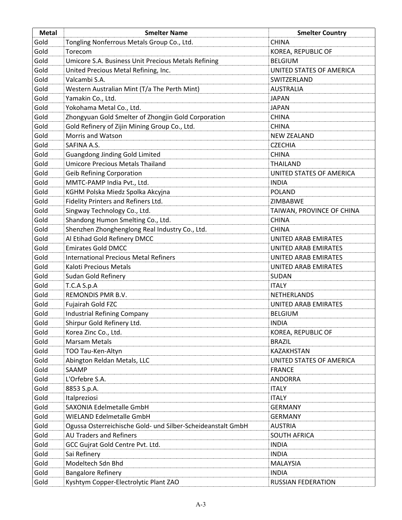| <b>Metal</b> | <b>Smelter Name</b>                                         | <b>Smelter Country</b>    |
|--------------|-------------------------------------------------------------|---------------------------|
| Gold         | Tongling Nonferrous Metals Group Co., Ltd.                  | <b>CHINA</b>              |
| Gold         | Torecom                                                     | KOREA, REPUBLIC OF        |
| Gold         | Umicore S.A. Business Unit Precious Metals Refining         | <b>BELGIUM</b>            |
| Gold         | United Precious Metal Refining, Inc.                        | UNITED STATES OF AMERICA  |
| Gold         | Valcambi S.A.                                               | SWITZERLAND               |
| Gold         | Western Australian Mint (T/a The Perth Mint)                | <b>AUSTRALIA</b>          |
| Gold         | Yamakin Co., Ltd.                                           | <b>JAPAN</b>              |
| Gold         | Yokohama Metal Co., Ltd.                                    | <b>JAPAN</b>              |
| Gold         | Zhongyuan Gold Smelter of Zhongjin Gold Corporation         | <b>CHINA</b>              |
| Gold         | Gold Refinery of Zijin Mining Group Co., Ltd.               | <b>CHINA</b>              |
| Gold         | Morris and Watson                                           | <b>NEW ZEALAND</b>        |
| Gold         | SAFINA A.S.                                                 | <b>CZECHIA</b>            |
| Gold         | <b>Guangdong Jinding Gold Limited</b>                       | <b>CHINA</b>              |
| Gold         | <b>Umicore Precious Metals Thailand</b>                     | <b>THAILAND</b>           |
| Gold         | <b>Geib Refining Corporation</b>                            | UNITED STATES OF AMERICA  |
| Gold         | MMTC-PAMP India Pvt., Ltd.                                  | <b>INDIA</b>              |
| Gold         | KGHM Polska Miedz Spolka Akcyjna                            | <b>POLAND</b>             |
| Gold         | Fidelity Printers and Refiners Ltd.                         | ZIMBABWE                  |
| Gold         | Singway Technology Co., Ltd.                                | TAIWAN, PROVINCE OF CHINA |
| Gold         | Shandong Humon Smelting Co., Ltd.                           | <b>CHINA</b>              |
| Gold         | Shenzhen Zhonghenglong Real Industry Co., Ltd.              | <b>CHINA</b>              |
| Gold         | Al Etihad Gold Refinery DMCC                                | UNITED ARAB EMIRATES      |
| Gold         | <b>Emirates Gold DMCC</b>                                   | UNITED ARAB EMIRATES      |
| Gold         | <b>International Precious Metal Refiners</b>                | UNITED ARAB EMIRATES      |
| Gold         | Kaloti Precious Metals                                      | UNITED ARAB EMIRATES      |
| Gold         | Sudan Gold Refinery                                         | SUDAN                     |
| Gold         | T.C.A S.p.A                                                 | <b>ITALY</b>              |
| Gold         | REMONDIS PMR B.V.                                           | NETHERLANDS               |
| Gold         | Fujairah Gold FZC                                           | UNITED ARAB EMIRATES      |
| Gold         | <b>Industrial Refining Company</b>                          | <b>BELGIUM</b>            |
| Gold         | Shirpur Gold Refinery Ltd.                                  | <b>INDIA</b>              |
| Gold         | Korea Zinc Co., Ltd.                                        | KOREA, REPUBLIC OF        |
| Gold         | <b>Marsam Metals</b>                                        | <b>BRAZIL</b>             |
| Gold         | TOO Tau-Ken-Altyn                                           | KAZAKHSTAN                |
| Gold         | Abington Reldan Metals, LLC                                 | UNITED STATES OF AMERICA  |
| Gold         | SAAMP                                                       | <b>FRANCE</b>             |
| Gold         | L'Orfebre S.A.                                              | <b>ANDORRA</b>            |
| Gold         | 8853 S.p.A.                                                 | <b>ITALY</b>              |
| Gold         | Italpreziosi                                                | <b>ITALY</b>              |
| Gold         | SAXONIA Edelmetalle GmbH                                    | <b>GERMANY</b>            |
| Gold         | <b>WIELAND Edelmetalle GmbH</b>                             | <b>GERMANY</b>            |
| Gold         | Ogussa Osterreichische Gold- und Silber-Scheideanstalt GmbH | <b>AUSTRIA</b>            |
| Gold         | <b>AU Traders and Refiners</b>                              | <b>SOUTH AFRICA</b>       |
| Gold         | GCC Gujrat Gold Centre Pvt. Ltd.                            | <b>INDIA</b>              |
| Gold         | Sai Refinery                                                | <b>INDIA</b>              |
| Gold         | Modeltech Sdn Bhd                                           | <b>MALAYSIA</b>           |
| Gold         | <b>Bangalore Refinery</b>                                   | <b>INDIA</b>              |
| Gold         | Kyshtym Copper-Electrolytic Plant ZAO                       | <b>RUSSIAN FEDERATION</b> |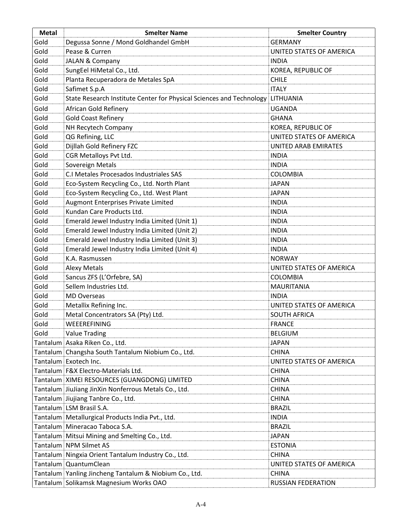| <b>Metal</b> | <b>Smelter Name</b>                                                  | <b>Smelter Country</b>    |
|--------------|----------------------------------------------------------------------|---------------------------|
| Gold         | Degussa Sonne / Mond Goldhandel GmbH                                 | <b>GERMANY</b>            |
| Gold         | Pease & Curren                                                       | UNITED STATES OF AMERICA  |
| Gold         | <b>JALAN &amp; Company</b>                                           | <b>INDIA</b>              |
| Gold         | SungEel HiMetal Co., Ltd.                                            | KOREA, REPUBLIC OF        |
| Gold         | Planta Recuperadora de Metales SpA                                   | <b>CHILE</b>              |
| Gold         | Safimet S.p.A                                                        | <b>ITALY</b>              |
| Gold         | State Research Institute Center for Physical Sciences and Technology | LITHUANIA                 |
| Gold         | African Gold Refinery                                                | <b>UGANDA</b>             |
| Gold         | <b>Gold Coast Refinery</b>                                           | <b>GHANA</b>              |
| Gold         | NH Recytech Company                                                  | KOREA, REPUBLIC OF        |
| Gold         | QG Refining, LLC                                                     | UNITED STATES OF AMERICA  |
| Gold         | Dijllah Gold Refinery FZC                                            | UNITED ARAB EMIRATES      |
| Gold         | CGR Metalloys Pvt Ltd.                                               | <b>INDIA</b>              |
| Gold         | Sovereign Metals                                                     | <b>INDIA</b>              |
| Gold         | C.I Metales Procesados Industriales SAS                              | <b>COLOMBIA</b>           |
| Gold         | Eco-System Recycling Co., Ltd. North Plant                           | <b>JAPAN</b>              |
| Gold         | Eco-System Recycling Co., Ltd. West Plant                            | <b>JAPAN</b>              |
| Gold         | <b>Augmont Enterprises Private Limited</b>                           | <b>INDIA</b>              |
| Gold         | Kundan Care Products Ltd.                                            | <b>INDIA</b>              |
| Gold         | Emerald Jewel Industry India Limited (Unit 1)                        | <b>INDIA</b>              |
| Gold         | Emerald Jewel Industry India Limited (Unit 2)                        | <b>INDIA</b>              |
| Gold         | Emerald Jewel Industry India Limited (Unit 3)                        | <b>INDIA</b>              |
| Gold         | Emerald Jewel Industry India Limited (Unit 4)                        | <b>INDIA</b>              |
| Gold         | K.A. Rasmussen                                                       | <b>NORWAY</b>             |
| Gold         | <b>Alexy Metals</b>                                                  | UNITED STATES OF AMERICA  |
| Gold         | Sancus ZFS (L'Orfebre, SA)                                           | <b>COLOMBIA</b>           |
| Gold         | Sellem Industries Ltd.                                               | <b>MAURITANIA</b>         |
| Gold         | <b>MD Overseas</b>                                                   | <b>INDIA</b>              |
| Gold         | Metallix Refining Inc.                                               | UNITED STATES OF AMERICA  |
| Gold         | Metal Concentrators SA (Pty) Ltd.                                    | <b>SOUTH AFRICA</b>       |
| Gold         | WEEEREFINING                                                         | <b>FRANCE</b>             |
| Gold         | <b>Value Trading</b>                                                 | <b>BELGIUM</b>            |
|              | Tantalum Asaka Riken Co., Ltd.                                       | <b>JAPAN</b>              |
|              | Tantalum Changsha South Tantalum Niobium Co., Ltd.                   | <b>CHINA</b>              |
|              | Tantalum Exotech Inc.                                                | UNITED STATES OF AMERICA  |
|              | Tantalum F&X Electro-Materials Ltd.                                  | <b>CHINA</b>              |
|              | Tantalum   XIMEI RESOURCES (GUANGDONG) LIMITED                       | <b>CHINA</b>              |
|              | Tantalum JiuJiang JinXin Nonferrous Metals Co., Ltd.                 | <b>CHINA</b>              |
|              | Tantalum Jiujiang Tanbre Co., Ltd.                                   | <b>CHINA</b>              |
|              | Tantalum LSM Brasil S.A.                                             | <b>BRAZIL</b>             |
|              | Tantalum Metallurgical Products India Pvt., Ltd.                     | <b>INDIA</b>              |
|              | Tantalum Mineracao Taboca S.A.                                       | <b>BRAZIL</b>             |
|              | Tantalum Mitsui Mining and Smelting Co., Ltd.                        | <b>JAPAN</b>              |
|              | Tantalum NPM Silmet AS                                               | <b>ESTONIA</b>            |
|              | Tantalum Ningxia Orient Tantalum Industry Co., Ltd.                  | <b>CHINA</b>              |
|              | Tantalum Quantum Clean                                               | UNITED STATES OF AMERICA  |
|              | Tantalum Yanling Jincheng Tantalum & Niobium Co., Ltd.               | <b>CHINA</b>              |
|              | Tantalum Solikamsk Magnesium Works OAO                               | <b>RUSSIAN FEDERATION</b> |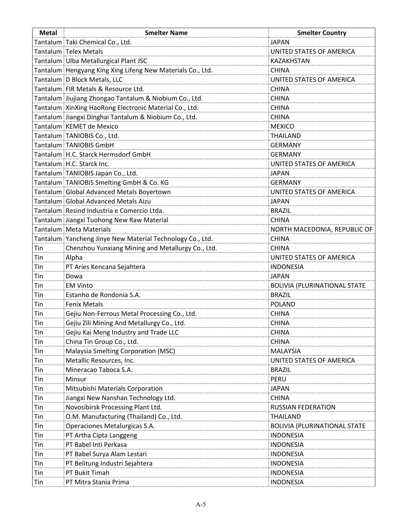| <b>Metal</b> | <b>Smelter Name</b>                                        | <b>Smelter Country</b>              |
|--------------|------------------------------------------------------------|-------------------------------------|
|              | Tantalum Taki Chemical Co., Ltd.                           | <b>JAPAN</b>                        |
|              | Tantalum Telex Metals                                      | UNITED STATES OF AMERICA            |
|              | Tantalum Ulba Metallurgical Plant JSC                      | <b>KAZAKHSTAN</b>                   |
|              | Tantalum Hengyang King Xing Lifeng New Materials Co., Ltd. | <b>CHINA</b>                        |
|              | Tantalum D Block Metals, LLC                               | UNITED STATES OF AMERICA            |
|              | Tantalum FIR Metals & Resource Ltd.                        | <b>CHINA</b>                        |
|              | Tantalum Jiujiang Zhongao Tantalum & Niobium Co., Ltd.     | <b>CHINA</b>                        |
|              | Tantalum XinXing HaoRong Electronic Material Co., Ltd.     | <b>CHINA</b>                        |
|              | Tantalum Jiangxi Dinghai Tantalum & Niobium Co., Ltd.      | <b>CHINA</b>                        |
|              | Tantalum   KEMET de Mexico                                 | <b>MEXICO</b>                       |
|              | Tantalum TANIOBIS Co., Ltd.                                | <b>THAILAND</b>                     |
|              | Tantalum TANIOBIS GmbH                                     | <b>GERMANY</b>                      |
|              | Tantalum H.C. Starck Hermsdorf GmbH                        | <b>GERMANY</b>                      |
|              | Tantalum H.C. Starck Inc.                                  | UNITED STATES OF AMERICA            |
|              | Tantalum TANIOBIS Japan Co., Ltd.                          | <b>JAPAN</b>                        |
|              | Tantalum TANIOBIS Smelting GmbH & Co. KG                   | <b>GERMANY</b>                      |
|              | Tantalum Global Advanced Metals Boyertown                  | UNITED STATES OF AMERICA            |
|              | Tantalum Global Advanced Metals Aizu                       | <b>JAPAN</b>                        |
|              | Tantalum Resind Industria e Comercio Ltda.                 | <b>BRAZIL</b>                       |
|              | Tantalum Jiangxi Tuohong New Raw Material                  | <b>CHINA</b>                        |
|              | Tantalum Meta Materials                                    | NORTH MACEDONIA, REPUBLIC OF        |
|              | Tantalum Yancheng Jinye New Material Technology Co., Ltd.  | <b>CHINA</b>                        |
| Tin          | Chenzhou Yunxiang Mining and Metallurgy Co., Ltd.          | <b>CHINA</b>                        |
| Tin          | Alpha                                                      | UNITED STATES OF AMERICA            |
| Tin          | PT Aries Kencana Sejahtera                                 | <b>INDONESIA</b>                    |
| Tin          | Dowa                                                       | <b>JAPAN</b>                        |
| Tin          | <b>EM Vinto</b>                                            | <b>BOLIVIA (PLURINATIONAL STATE</b> |
| Tin          | Estanho de Rondonia S.A.                                   | <b>BRAZIL</b>                       |
| Tin          | <b>Fenix Metals</b>                                        | <b>POLAND</b>                       |
| Tin          | Gejiu Non-Ferrous Metal Processing Co., Ltd.               | <b>CHINA</b>                        |
| Tin          | Gejiu Zili Mining And Metallurgy Co., Ltd.                 | <b>CHINA</b>                        |
| Tin          | Gejiu Kai Meng Industry and Trade LLC                      | <b>CHINA</b>                        |
| Tin          | China Tin Group Co., Ltd.                                  | <b>CHINA</b>                        |
| Tin          | Malaysia Smelting Corporation (MSC)                        | <b>MALAYSIA</b>                     |
| Tin          | Metallic Resources, Inc.                                   | UNITED STATES OF AMERICA            |
| Tin          | Mineracao Taboca S.A.                                      | <b>BRAZIL</b>                       |
| Tin          | Minsur                                                     | PERU                                |
| Tin          | Mitsubishi Materials Corporation                           | <b>JAPAN</b>                        |
| Tin          | Jiangxi New Nanshan Technology Ltd.                        | <b>CHINA</b>                        |
| Tin          | Novosibirsk Processing Plant Ltd.                          | <b>RUSSIAN FEDERATION</b>           |
| Tin          | O.M. Manufacturing (Thailand) Co., Ltd.                    | THAILAND                            |
| Tin          | Operaciones Metalurgicas S.A.                              | <b>BOLIVIA (PLURINATIONAL STATE</b> |
| Tin          | PT Artha Cipta Langgeng                                    | <b>INDONESIA</b>                    |
| Tin          | PT Babel Inti Perkasa                                      | <b>INDONESIA</b>                    |
| Tin          | PT Babel Surya Alam Lestari                                | <b>INDONESIA</b>                    |
| Tin          | PT Belitung Industri Sejahtera                             | <b>INDONESIA</b>                    |
| Tin          | PT Bukit Timah                                             | <b>INDONESIA</b>                    |
| Tin          | PT Mitra Stania Prima                                      | <b>INDONESIA</b>                    |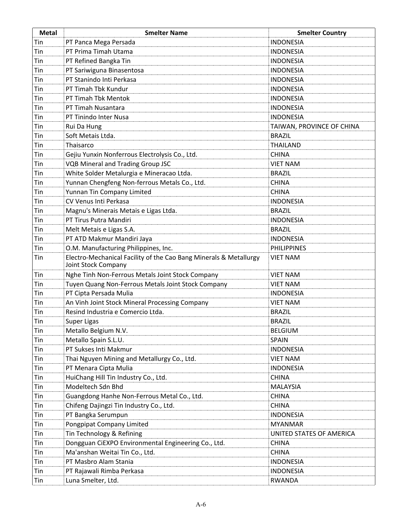| <b>Metal</b> | <b>Smelter Name</b>                                                                      | <b>Smelter Country</b>    |
|--------------|------------------------------------------------------------------------------------------|---------------------------|
| Tin          | PT Panca Mega Persada                                                                    | <b>INDONESIA</b>          |
| Tin          | PT Prima Timah Utama                                                                     | <b>INDONESIA</b>          |
| Tin          | PT Refined Bangka Tin                                                                    | <b>INDONESIA</b>          |
| Tin          | PT Sariwiguna Binasentosa                                                                | <b>INDONESIA</b>          |
| Tin          | PT Stanindo Inti Perkasa                                                                 | <b>INDONESIA</b>          |
| Tin          | PT Timah Tbk Kundur                                                                      | <b>INDONESIA</b>          |
| Tin          | PT Timah Tbk Mentok                                                                      | <b>INDONESIA</b>          |
| Tin          | PT Timah Nusantara                                                                       | <b>INDONESIA</b>          |
| Tin          | PT Tinindo Inter Nusa                                                                    | <b>INDONESIA</b>          |
| Tin          | Rui Da Hung                                                                              | TAIWAN, PROVINCE OF CHINA |
| Tin          | Soft Metais Ltda.                                                                        | <b>BRAZIL</b>             |
| Tin          | Thaisarco                                                                                | <b>THAILAND</b>           |
| Tin          | Gejiu Yunxin Nonferrous Electrolysis Co., Ltd.                                           | <b>CHINA</b>              |
| Tin          | <b>VQB Mineral and Trading Group JSC</b>                                                 | <b>VIET NAM</b>           |
| Tin          | White Solder Metalurgia e Mineracao Ltda.                                                | <b>BRAZIL</b>             |
| Tin          | Yunnan Chengfeng Non-ferrous Metals Co., Ltd.                                            | <b>CHINA</b>              |
| Tin          | Yunnan Tin Company Limited                                                               | <b>CHINA</b>              |
| Tin          | CV Venus Inti Perkasa                                                                    | <b>INDONESIA</b>          |
| Tin          | Magnu's Minerais Metais e Ligas Ltda.                                                    | <b>BRAZIL</b>             |
| Tin          | PT Tirus Putra Mandiri                                                                   | <b>INDONESIA</b>          |
| Tin          | Melt Metais e Ligas S.A.                                                                 | <b>BRAZIL</b>             |
| Tin          | PT ATD Makmur Mandiri Jaya                                                               | <b>INDONESIA</b>          |
| Tin          | O.M. Manufacturing Philippines, Inc.                                                     | <b>PHILIPPINES</b>        |
| Tin          | Electro-Mechanical Facility of the Cao Bang Minerals & Metallurgy<br>Joint Stock Company | <b>VIET NAM</b>           |
| Tin          | Nghe Tinh Non-Ferrous Metals Joint Stock Company                                         | <b>VIET NAM</b>           |
| Tin          | Tuyen Quang Non-Ferrous Metals Joint Stock Company                                       | <b>VIET NAM</b>           |
| Tin          | PT Cipta Persada Mulia                                                                   | <b>INDONESIA</b>          |
| Tin          | An Vinh Joint Stock Mineral Processing Company                                           | <b>VIET NAM</b>           |
| Tin          | Resind Industria e Comercio Ltda.                                                        | <b>BRAZIL</b>             |
| Tin          | Super Ligas                                                                              | <b>BRAZIL</b>             |
| Tin          | Metallo Belgium N.V.                                                                     | <b>BELGIUM</b>            |
| Tin          | Metallo Spain S.L.U.                                                                     | SPAIN                     |
| Tin          | PT Sukses Inti Makmur                                                                    | <b>INDONESIA</b>          |
| Tin          | Thai Nguyen Mining and Metallurgy Co., Ltd.                                              | <b>VIET NAM</b>           |
| Tin          | PT Menara Cipta Mulia                                                                    | <b>INDONESIA</b>          |
| Tin          | HuiChang Hill Tin Industry Co., Ltd.                                                     | <b>CHINA</b>              |
| Tin          | Modeltech Sdn Bhd                                                                        | <b>MALAYSIA</b>           |
| Tin          | Guangdong Hanhe Non-Ferrous Metal Co., Ltd.                                              | <b>CHINA</b>              |
| Tin          | Chifeng Dajingzi Tin Industry Co., Ltd.                                                  | <b>CHINA</b>              |
| Tin          | PT Bangka Serumpun                                                                       | <b>INDONESIA</b>          |
| Tin          | Pongpipat Company Limited                                                                | <b>MYANMAR</b>            |
| Tin          | Tin Technology & Refining                                                                | UNITED STATES OF AMERICA  |
| Tin          | Dongguan CiEXPO Environmental Engineering Co., Ltd.                                      | <b>CHINA</b>              |
| Tin          | Ma'anshan Weitai Tin Co., Ltd.                                                           | <b>CHINA</b>              |
| Tin          | PT Masbro Alam Stania                                                                    | <b>INDONESIA</b>          |
| Tin          | PT Rajawali Rimba Perkasa                                                                | <b>INDONESIA</b>          |
| Tin          | Luna Smelter, Ltd.                                                                       | <b>RWANDA</b>             |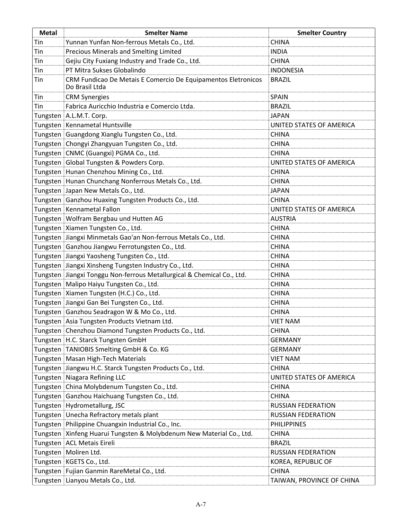| <b>Metal</b> | <b>Smelter Name</b>                                                             | <b>Smelter Country</b>    |
|--------------|---------------------------------------------------------------------------------|---------------------------|
| Tin          | Yunnan Yunfan Non-ferrous Metals Co., Ltd.                                      | <b>CHINA</b>              |
| Tin          | Precious Minerals and Smelting Limited                                          | <b>INDIA</b>              |
| Tin          | Gejiu City Fuxiang Industry and Trade Co., Ltd.                                 | <b>CHINA</b>              |
| Tin          | PT Mitra Sukses Globalindo                                                      | <b>INDONESIA</b>          |
| Tin          | CRM Fundicao De Metais E Comercio De Equipamentos Eletronicos<br>Do Brasil Ltda | <b>BRAZIL</b>             |
| Tin          | <b>CRM Synergies</b>                                                            | <b>SPAIN</b>              |
| Tin          | Fabrica Auricchio Industria e Comercio Ltda.                                    | <b>BRAZIL</b>             |
|              | Tungsten A.L.M.T. Corp.                                                         | <b>JAPAN</b>              |
|              | Tungsten Kennametal Huntsville                                                  | UNITED STATES OF AMERICA  |
|              | Tungsten   Guangdong Xianglu Tungsten Co., Ltd.                                 | <b>CHINA</b>              |
|              | Tungsten   Chongyi Zhangyuan Tungsten Co., Ltd.                                 | <b>CHINA</b>              |
|              | Tungsten   CNMC (Guangxi) PGMA Co., Ltd.                                        | <b>CHINA</b>              |
|              | Tungsten Global Tungsten & Powders Corp.                                        | UNITED STATES OF AMERICA  |
|              | Tungsten Hunan Chenzhou Mining Co., Ltd.                                        | <b>CHINA</b>              |
|              | Tungsten   Hunan Chunchang Nonferrous Metals Co., Ltd.                          | <b>CHINA</b>              |
|              | Tungsten Japan New Metals Co., Ltd.                                             | <b>JAPAN</b>              |
|              | Tungsten Ganzhou Huaxing Tungsten Products Co., Ltd.                            | <b>CHINA</b>              |
|              | Tungsten   Kennametal Fallon                                                    | UNITED STATES OF AMERICA  |
|              | Tungsten   Wolfram Bergbau und Hutten AG                                        | <b>AUSTRIA</b>            |
|              | Tungsten Xiamen Tungsten Co., Ltd.                                              | <b>CHINA</b>              |
|              | Tungsten Jiangxi Minmetals Gao'an Non-ferrous Metals Co., Ltd.                  | <b>CHINA</b>              |
|              | Tungsten Ganzhou Jiangwu Ferrotungsten Co., Ltd.                                | <b>CHINA</b>              |
|              | Tungsten Jiangxi Yaosheng Tungsten Co., Ltd.                                    | <b>CHINA</b>              |
|              | Tungsten Jiangxi Xinsheng Tungsten Industry Co., Ltd.                           | <b>CHINA</b>              |
|              | Tungsten Jiangxi Tonggu Non-ferrous Metallurgical & Chemical Co., Ltd.          | <b>CHINA</b>              |
|              | Tungsten Malipo Haiyu Tungsten Co., Ltd.                                        | <b>CHINA</b>              |
|              | Tungsten   Xiamen Tungsten (H.C.) Co., Ltd.                                     | <b>CHINA</b>              |
|              | Tungsten Jiangxi Gan Bei Tungsten Co., Ltd.                                     | <b>CHINA</b>              |
|              | Tungsten Ganzhou Seadragon W & Mo Co., Ltd.                                     | <b>CHINA</b>              |
|              | Tungsten Asia Tungsten Products Vietnam Ltd.                                    | <b>VIET NAM</b>           |
|              | Tungsten   Chenzhou Diamond Tungsten Products Co., Ltd.                         | <b>CHINA</b>              |
|              | Tungsten H.C. Starck Tungsten GmbH                                              | <b>GERMANY</b>            |
|              | Tungsten TANIOBIS Smelting GmbH & Co. KG                                        | <b>GERMANY</b>            |
|              | Tungsten Masan High-Tech Materials                                              | <b>VIET NAM</b>           |
|              | Tungsten Jiangwu H.C. Starck Tungsten Products Co., Ltd.                        | <b>CHINA</b>              |
|              | Tungsten Niagara Refining LLC                                                   | UNITED STATES OF AMERICA  |
|              | Tungsten China Molybdenum Tungsten Co., Ltd.                                    | <b>CHINA</b>              |
|              | Tungsten Ganzhou Haichuang Tungsten Co., Ltd.                                   | <b>CHINA</b>              |
|              | Tungsten Hydrometallurg, JSC                                                    | <b>RUSSIAN FEDERATION</b> |
|              | Tungsten Unecha Refractory metals plant                                         | <b>RUSSIAN FEDERATION</b> |
|              | Tungsten Philippine Chuangxin Industrial Co., Inc.                              | <b>PHILIPPINES</b>        |
|              | Tungsten Xinfeng Huarui Tungsten & Molybdenum New Material Co., Ltd.            | <b>CHINA</b>              |
|              | Tungsten   ACL Metais Eireli                                                    | <b>BRAZIL</b>             |
|              | Tungsten   Moliren Ltd.                                                         | <b>RUSSIAN FEDERATION</b> |
|              | Tungsten   KGETS Co., Ltd.                                                      | KOREA, REPUBLIC OF        |
|              | Tungsten Fujian Ganmin RareMetal Co., Ltd.                                      | <b>CHINA</b>              |
|              | Tungsten Lianyou Metals Co., Ltd.                                               | TAIWAN, PROVINCE OF CHINA |